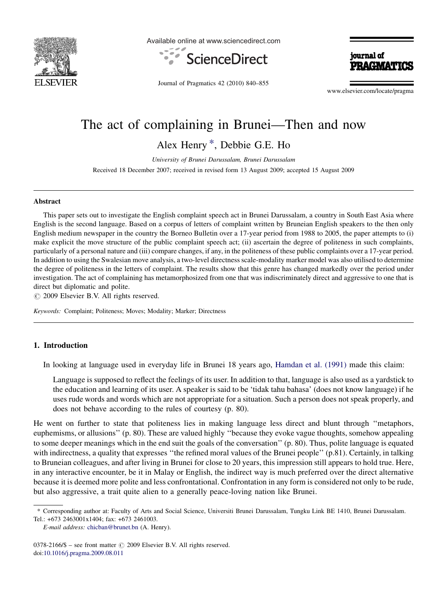

Available online at www.sciencedirect.com



journal of DDACIJA

Journal of Pragmatics 42 (2010) 840–855

www.elsevier.com/locate/pragma

# The act of complaining in Brunei—Then and now

Alex Henry \*, Debbie G.E. Ho

University of Brunei Darussalam, Brunei Darussalam Received 18 December 2007; received in revised form 13 August 2009; accepted 15 August 2009

#### Abstract

This paper sets out to investigate the English complaint speech act in Brunei Darussalam, a country in South East Asia where English is the second language. Based on a corpus of letters of complaint written by Bruneian English speakers to the then only English medium newspaper in the country the Borneo Bulletin over a 17-year period from 1988 to 2005, the paper attempts to (i) make explicit the move structure of the public complaint speech act; (ii) ascertain the degree of politeness in such complaints, particularly of a personal nature and (iii) compare changes, if any, in the politeness of these public complaints over a 17-year period. In addition to using the Swalesian move analysis, a two-level directness scale-modality marker model was also utilised to determine the degree of politeness in the letters of complaint. The results show that this genre has changed markedly over the period under investigation. The act of complaining has metamorphosized from one that was indiscriminately direct and aggressive to one that is direct but diplomatic and polite.

 $\circ$  2009 Elsevier B.V. All rights reserved.

Keywords: Complaint; Politeness; Moves; Modality; Marker; Directness

# 1. Introduction

In looking at language used in everyday life in Brunei 18 years ago, [Hamdan et al. \(1991\)](#page-15-0) made this claim:

Language is supposed to reflect the feelings of its user. In addition to that, language is also used as a yardstick to the education and learning of its user. A speaker is said to be 'tidak tahu bahasa' (does not know language) if he uses rude words and words which are not appropriate for a situation. Such a person does not speak properly, and does not behave according to the rules of courtesy (p. 80).

He went on further to state that politeness lies in making language less direct and blunt through ''metaphors, euphemisms, or allusions'' (p. 80). These are valued highly ''because they evoke vague thoughts, somehow appealing to some deeper meanings which in the end suit the goals of the conversation'' (p. 80). Thus, polite language is equated with indirectness, a quality that expresses "the refined moral values of the Brunei people" (p.81). Certainly, in talking to Bruneian colleagues, and after living in Brunei for close to 20 years, this impression still appears to hold true. Here, in any interactive encounter, be it in Malay or English, the indirect way is much preferred over the direct alternative because it is deemed more polite and less confrontational. Confrontation in any form is considered not only to be rude, but also aggressive, a trait quite alien to a generally peace-loving nation like Brunei.

<sup>\*</sup> Corresponding author at: Faculty of Arts and Social Science, Universiti Brunei Darussalam, Tungku Link BE 1410, Brunei Darussalam. Tel.: +673 2463001x1404; fax: +673 2461003.

E-mail address: [chicban@brunet.bn](mailto:chicban@brunet.bn) (A. Henry).

 $0378-2166/\$$  – see front matter  $\odot$  2009 Elsevier B.V. All rights reserved. doi:[10.1016/j.pragma.2009.08.011](http://dx.doi.org/10.1016/j.pragma.2009.08.011)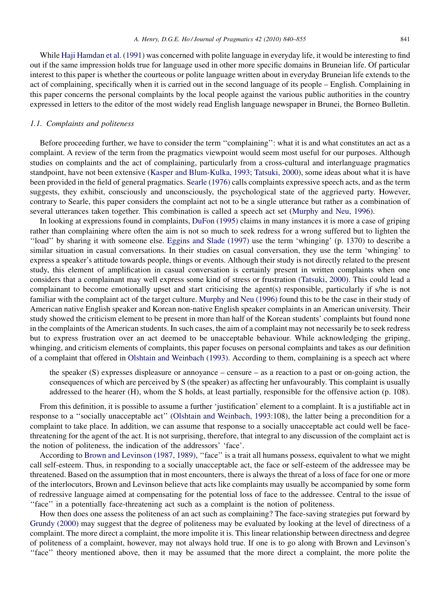While [Haji Hamdan et al. \(1991\)](#page-15-0) was concerned with polite language in everyday life, it would be interesting to find out if the same impression holds true for language used in other more specific domains in Bruneian life. Of particular interest to this paper is whether the courteous or polite language written about in everyday Bruneian life extends to the act of complaining, specifically when it is carried out in the second language of its people – English. Complaining in this paper concerns the personal complaints by the local people against the various public authorities in the country expressed in letters to the editor of the most widely read English language newspaper in Brunei, the Borneo Bulletin.

#### 1.1. Complaints and politeness

Before proceeding further, we have to consider the term ''complaining'': what it is and what constitutes an act as a complaint. A review of the term from the pragmatics viewpoint would seem most useful for our purposes. Although studies on complaints and the act of complaining, particularly from a cross-cultural and interlanguage pragmatics standpoint, have not been extensive [\(Kasper and Blum-Kulka, 1993; Tatsuki, 2000](#page-15-0)), some ideas about what it is have been provided in the field of general pragmatics. [Searle \(1976\)](#page-15-0) calls complaints expressive speech acts, and as the term suggests, they exhibit, consciously and unconsciously, the psychological state of the aggrieved party. However, contrary to Searle, this paper considers the complaint act not to be a single utterance but rather as a combination of several utterances taken together. This combination is called a speech act set [\(Murphy and Neu, 1996](#page-15-0)).

In looking at expressions found in complaints, [DuFon \(1995\)](#page-15-0) claims in many instances it is more a case of griping rather than complaining where often the aim is not so much to seek redress for a wrong suffered but to lighten the ''load'' by sharing it with someone else. [Eggins and Slade \(1997\)](#page-15-0) use the term 'whinging' (p. 1370) to describe a similar situation in casual conversations. In their studies on casual conversation, they use the term 'whinging' to express a speaker's attitude towards people, things or events. Although their study is not directly related to the present study, this element of amplification in casual conversation is certainly present in written complaints when one considers that a complainant may well express some kind of stress or frustration [\(Tatsuki, 2000](#page-15-0)). This could lead a complainant to become emotionally upset and start criticising the agent(s) responsible, particularly if s/he is not familiar with the complaint act of the target culture. [Murphy and Neu \(1996\)](#page-15-0) found this to be the case in their study of American native English speaker and Korean non-native English speaker complaints in an American university. Their study showed the criticism element to be present in more than half of the Korean students' complaints but found none in the complaints of the American students. In such cases, the aim of a complaint may not necessarily be to seek redress but to express frustration over an act deemed to be unacceptable behaviour. While acknowledging the griping, whinging, and criticism elements of complaints, this paper focuses on personal complaints and takes as our definition of a complaint that offered in [Olshtain and Weinbach \(1993\).](#page-15-0) According to them, complaining is a speech act where

the speaker (S) expresses displeasure or annoyance – censure – as a reaction to a past or on-going action, the consequences of which are perceived by S (the speaker) as affecting her unfavourably. This complaint is usually addressed to the hearer (H), whom the S holds, at least partially, responsible for the offensive action (p. 108).

From this definition, it is possible to assume a further 'justification' element to a complaint. It is a justifiable act in response to a ''socially unacceptable act'' [\(Olshtain and Weinbach, 1993](#page-15-0):108), the latter being a precondition for a complaint to take place. In addition, we can assume that response to a socially unacceptable act could well be facethreatening for the agent of the act. It is not surprising, therefore, that integral to any discussion of the complaint act is the notion of politeness, the indication of the addressors' 'face'.

According to [Brown and Levinson \(1987, 1989\)](#page-15-0), ''face'' is a trait all humans possess, equivalent to what we might call self-esteem. Thus, in responding to a socially unacceptable act, the face or self-esteem of the addressee may be threatened. Based on the assumption that in most encounters, there is always the threat of a loss of face for one or more of the interlocutors, Brown and Levinson believe that acts like complaints may usually be accompanied by some form of redressive language aimed at compensating for the potential loss of face to the addressee. Central to the issue of ''face'' in a potentially face-threatening act such as a complaint is the notion of politeness.

How then does one assess the politeness of an act such as complaining? The face-saving strategies put forward by [Grundy \(2000\)](#page-15-0) may suggest that the degree of politeness may be evaluated by looking at the level of directness of a complaint. The more direct a complaint, the more impolite it is. This linear relationship between directness and degree of politeness of a complaint, however, may not always hold true. If one is to go along with Brown and Levinson's ''face'' theory mentioned above, then it may be assumed that the more direct a complaint, the more polite the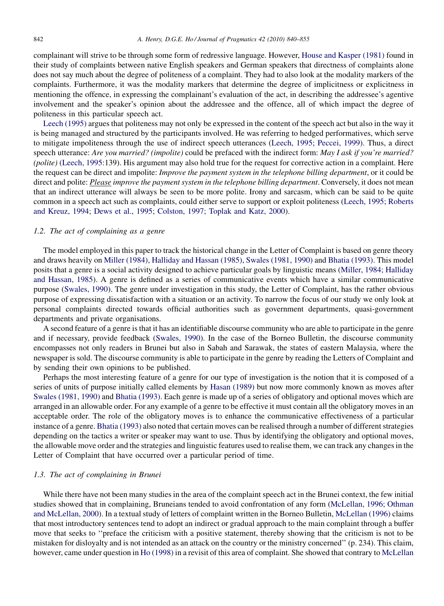complainant will strive to be through some form of redressive language. However, [House and Kasper \(1981\)](#page-15-0) found in their study of complaints between native English speakers and German speakers that directness of complaints alone does not say much about the degree of politeness of a complaint. They had to also look at the modality markers of the complaints. Furthermore, it was the modality markers that determine the degree of implicitness or explicitness in mentioning the offence, in expressing the complainant's evaluation of the act, in describing the addressee's agentive involvement and the speaker's opinion about the addressee and the offence, all of which impact the degree of politeness in this particular speech act.

[Leech \(1995\)](#page-15-0) argues that politeness may not only be expressed in the content of the speech act but also in the way it is being managed and structured by the participants involved. He was referring to hedged performatives, which serve to mitigate impoliteness through the use of indirect speech utterances [\(Leech, 1995; Peccei, 1999\)](#page-15-0). Thus, a direct speech utterance: Are you married? (impolite) could be prefaced with the indirect form: May I ask if you're married? (polite) [\(Leech, 1995:](#page-15-0)139). His argument may also hold true for the request for corrective action in a complaint. Here the request can be direct and impolite: *Improve the payment system in the telephone billing department*, or it could be direct and polite: Please improve the payment system in the telephone billing department. Conversely, it does not mean that an indirect utterance will always be seen to be more polite. Irony and sarcasm, which can be said to be quite common in a speech act such as complaints, could either serve to support or exploit politeness ([Leech, 1995; Roberts](#page-15-0) [and Kreuz, 1994; Dews et al., 1995; Colston, 1997; Toplak and Katz, 2000\)](#page-15-0).

#### 1.2. The act of complaining as a genre

The model employed in this paper to track the historical change in the Letter of Complaint is based on genre theory and draws heavily on [Miller \(1984\)](#page-15-0), [Halliday and Hassan \(1985\)](#page-15-0), [Swales \(1981, 1990\)](#page-15-0) and [Bhatia \(1993\).](#page-15-0) This model posits that a genre is a social activity designed to achieve particular goals by linguistic means [\(Miller, 1984; Halliday](#page-15-0) [and Hassan, 1985](#page-15-0)). A genre is defined as a series of communicative events which have a similar communicative purpose ([Swales, 1990](#page-15-0)). The genre under investigation in this study, the Letter of Complaint, has the rather obvious purpose of expressing dissatisfaction with a situation or an activity. To narrow the focus of our study we only look at personal complaints directed towards official authorities such as government departments, quasi-government departments and private organisations.

A second feature of a genre is that it has an identifiable discourse community who are able to participate in the genre and if necessary, provide feedback [\(Swales, 1990\)](#page-15-0). In the case of the Borneo Bulletin, the discourse community encompasses not only readers in Brunei but also in Sabah and Sarawak, the states of eastern Malaysia, where the newspaper is sold. The discourse community is able to participate in the genre by reading the Letters of Complaint and by sending their own opinions to be published.

Perhaps the most interesting feature of a genre for our type of investigation is the notion that it is composed of a series of units of purpose initially called elements by [Hasan \(1989\)](#page-15-0) but now more commonly known as moves after [Swales \(1981, 1990\)](#page-15-0) and [Bhatia \(1993\).](#page-15-0) Each genre is made up of a series of obligatory and optional moves which are arranged in an allowable order. For any example of a genre to be effective it must contain all the obligatory moves in an acceptable order. The role of the obligatory moves is to enhance the communicative effectiveness of a particular instance of a genre. [Bhatia \(1993\)](#page-15-0) also noted that certain moves can be realised through a number of different strategies depending on the tactics a writer or speaker may want to use. Thus by identifying the obligatory and optional moves, the allowable move order and the strategies and linguistic features used to realise them, we can track any changes in the Letter of Complaint that have occurred over a particular period of time.

#### 1.3. The act of complaining in Brunei

While there have not been many studies in the area of the complaint speech act in the Brunei context, the few initial studies showed that in complaining, Bruneians tended to avoid confrontation of any form ([McLellan, 1996; Othman](#page-15-0) [and McLellan, 2000](#page-15-0)). In a textual study of letters of complaint written in the Borneo Bulletin, [McLellan \(1996\)](#page-15-0) claims that most introductory sentences tend to adopt an indirect or gradual approach to the main complaint through a buffer move that seeks to ''preface the criticism with a positive statement, thereby showing that the criticism is not to be mistaken for disloyalty and is not intended as an attack on the country or the ministry concerned'' (p. 234). This claim, however, came under question in [Ho \(1998\)](#page-15-0) in a revisit of this area of complaint. She showed that contrary to [McLellan](#page-15-0)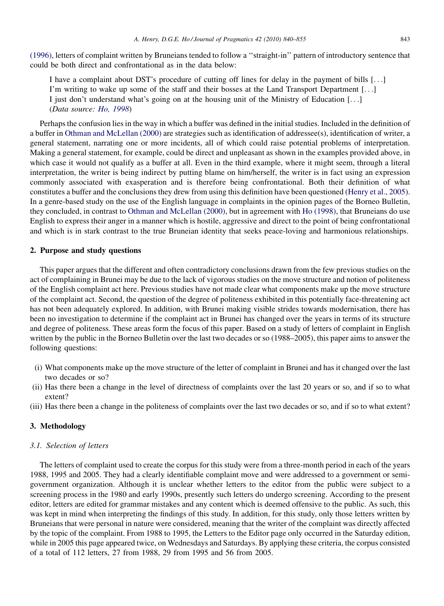[\(1996\)](#page-15-0), letters of complaint written by Bruneians tended to follow a ''straight-in'' pattern of introductory sentence that could be both direct and confrontational as in the data below:

I have a complaint about DST's procedure of cutting off lines for delay in the payment of bills [...] I'm writing to wake up some of the staff and their bosses at the Land Transport Department [...] I just don't understand what's going on at the housing unit of the Ministry of Education [...] (Data source: [Ho, 1998](#page-15-0))

Perhaps the confusion lies in the way in which a buffer was defined in the initial studies. Included in the definition of a buffer in [Othman and McLellan \(2000\)](#page-15-0) are strategies such as identification of addressee(s), identification of writer, a general statement, narrating one or more incidents, all of which could raise potential problems of interpretation. Making a general statement, for example, could be direct and unpleasant as shown in the examples provided above, in which case it would not qualify as a buffer at all. Even in the third example, where it might seem, through a literal interpretation, the writer is being indirect by putting blame on him/herself, the writer is in fact using an expression commonly associated with exasperation and is therefore being confrontational. Both their definition of what constitutes a buffer and the conclusions they drew from using this definition have been questioned ([Henry et al., 2005](#page-15-0)). In a genre-based study on the use of the English language in complaints in the opinion pages of the Borneo Bulletin, they concluded, in contrast to [Othman and McLellan \(2000\)](#page-15-0), but in agreement with [Ho \(1998\)](#page-15-0), that Bruneians do use English to express their anger in a manner which is hostile, aggressive and direct to the point of being confrontational and which is in stark contrast to the true Bruneian identity that seeks peace-loving and harmonious relationships.

# 2. Purpose and study questions

This paper argues that the different and often contradictory conclusions drawn from the few previous studies on the act of complaining in Brunei may be due to the lack of vigorous studies on the move structure and notion of politeness of the English complaint act here. Previous studies have not made clear what components make up the move structure of the complaint act. Second, the question of the degree of politeness exhibited in this potentially face-threatening act has not been adequately explored. In addition, with Brunei making visible strides towards modernisation, there has been no investigation to determine if the complaint act in Brunei has changed over the years in terms of its structure and degree of politeness. These areas form the focus of this paper. Based on a study of letters of complaint in English written by the public in the Borneo Bulletin over the last two decades or so (1988–2005), this paper aims to answer the following questions:

- (i) What components make up the move structure of the letter of complaint in Brunei and has it changed over the last two decades or so?
- (ii) Has there been a change in the level of directness of complaints over the last 20 years or so, and if so to what extent?
- (iii) Has there been a change in the politeness of complaints over the last two decades or so, and if so to what extent?

#### 3. Methodology

#### 3.1. Selection of letters

The letters of complaint used to create the corpus for this study were from a three-month period in each of the years 1988, 1995 and 2005. They had a clearly identifiable complaint move and were addressed to a government or semigovernment organization. Although it is unclear whether letters to the editor from the public were subject to a screening process in the 1980 and early 1990s, presently such letters do undergo screening. According to the present editor, letters are edited for grammar mistakes and any content which is deemed offensive to the public. As such, this was kept in mind when interpreting the findings of this study. In addition, for this study, only those letters written by Bruneians that were personal in nature were considered, meaning that the writer of the complaint was directly affected by the topic of the complaint. From 1988 to 1995, the Letters to the Editor page only occurred in the Saturday edition, while in 2005 this page appeared twice, on Wednesdays and Saturdays. By applying these criteria, the corpus consisted of a total of 112 letters, 27 from 1988, 29 from 1995 and 56 from 2005.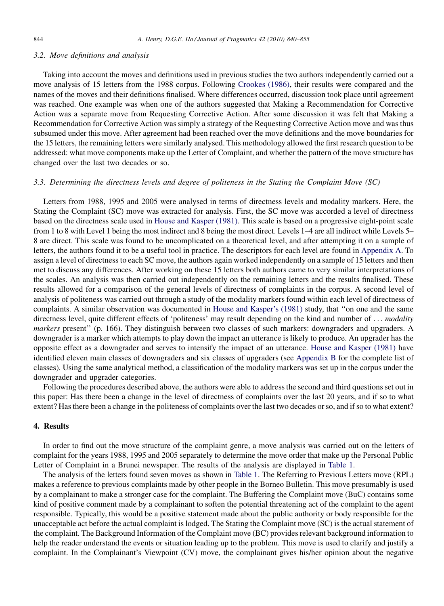## 3.2. Move definitions and analysis

Taking into account the moves and definitions used in previous studies the two authors independently carried out a move analysis of 15 letters from the 1988 corpus. Following [Crookes \(1986\)](#page-15-0), their results were compared and the names of the moves and their definitions finalised. Where differences occurred, discussion took place until agreement was reached. One example was when one of the authors suggested that Making a Recommendation for Corrective Action was a separate move from Requesting Corrective Action. After some discussion it was felt that Making a Recommendation for Corrective Action was simply a strategy of the Requesting Corrective Action move and was thus subsumed under this move. After agreement had been reached over the move definitions and the move boundaries for the 15 letters, the remaining letters were similarly analysed. This methodology allowed the first research question to be addressed: what move components make up the Letter of Complaint, and whether the pattern of the move structure has changed over the last two decades or so.

# 3.3. Determining the directness levels and degree of politeness in the Stating the Complaint Move (SC)

Letters from 1988, 1995 and 2005 were analysed in terms of directness levels and modality markers. Here, the Stating the Complaint (SC) move was extracted for analysis. First, the SC move was accorded a level of directness based on the directness scale used in [House and Kasper \(1981\).](#page-15-0) This scale is based on a progressive eight-point scale from 1 to 8 with Level 1 being the most indirect and 8 being the most direct. Levels 1–4 are all indirect while Levels 5– 8 are direct. This scale was found to be uncomplicated on a theoretical level, and after attempting it on a sample of letters, the authors found it to be a useful tool in practice. The descriptors for each level are found in [Appendix A](#page-11-0). To assign a level of directness to each SC move, the authors again worked independently on a sample of 15 letters and then met to discuss any differences. After working on these 15 letters both authors came to very similar interpretations of the scales. An analysis was then carried out independently on the remaining letters and the results finalised. These results allowed for a comparison of the general levels of directness of complaints in the corpus. A second level of analysis of politeness was carried out through a study of the modality markers found within each level of directness of complaints. A similar observation was documented in [House and Kasper's \(1981\)](#page-15-0) study, that ''on one and the same directness level, quite different effects of 'politeness' may result depending on the kind and number of ... modality markers present" (p. 166). They distinguish between two classes of such markers: downgraders and upgraders. A downgrader is a marker which attempts to play down the impact an utterance is likely to produce. An upgrader has the opposite effect as a downgrader and serves to intensify the impact of an utterance. [House and Kasper \(1981\)](#page-15-0) have identified eleven main classes of downgraders and six classes of upgraders (see [Appendix B](#page-11-0) for the complete list of classes). Using the same analytical method, a classification of the modality markers was set up in the corpus under the downgrader and upgrader categories.

Following the procedures described above, the authors were able to address the second and third questions set out in this paper: Has there been a change in the level of directness of complaints over the last 20 years, and if so to what extent? Has there been a change in the politeness of complaints over the last two decades or so, and if so to what extent?

### 4. Results

In order to find out the move structure of the complaint genre, a move analysis was carried out on the letters of complaint for the years 1988, 1995 and 2005 separately to determine the move order that make up the Personal Public Letter of Complaint in a Brunei newspaper. The results of the analysis are displayed in [Table 1](#page-5-0).

The analysis of the letters found seven moves as shown in [Table 1](#page-5-0). The Referring to Previous Letters move (RPL) makes a reference to previous complaints made by other people in the Borneo Bulletin. This move presumably is used by a complainant to make a stronger case for the complaint. The Buffering the Complaint move (BuC) contains some kind of positive comment made by a complainant to soften the potential threatening act of the complaint to the agent responsible. Typically, this would be a positive statement made about the public authority or body responsible for the unacceptable act before the actual complaint is lodged. The Stating the Complaint move (SC) is the actual statement of the complaint. The Background Information of the Complaint move (BC) provides relevant background information to help the reader understand the events or situation leading up to the problem. This move is used to clarify and justify a complaint. In the Complainant's Viewpoint (CV) move, the complainant gives his/her opinion about the negative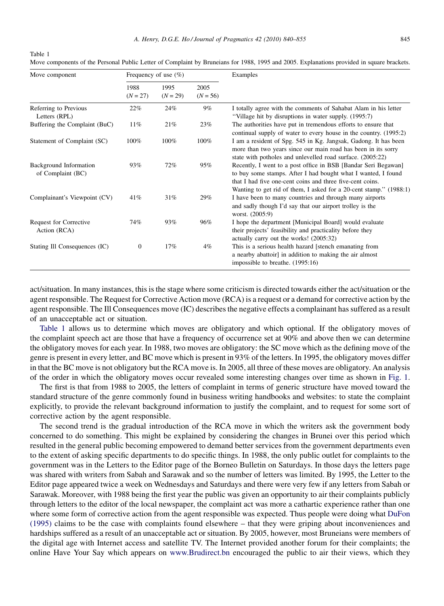| Move component                                     |                    | Frequency of use $(\% )$ |                    | Examples                                                                                                                                                                                                                                                           |  |  |  |  |
|----------------------------------------------------|--------------------|--------------------------|--------------------|--------------------------------------------------------------------------------------------------------------------------------------------------------------------------------------------------------------------------------------------------------------------|--|--|--|--|
|                                                    | 1988<br>$(N = 27)$ | 1995<br>$(N = 29)$       | 2005<br>$(N = 56)$ |                                                                                                                                                                                                                                                                    |  |  |  |  |
| Referring to Previous<br>Letters (RPL)             | 22%                | 24%                      | $9\%$              | I totally agree with the comments of Sahabat Alam in his letter<br>"Village hit by disruptions in water supply. (1995:7)                                                                                                                                           |  |  |  |  |
| Buffering the Complaint (BuC)                      | 11%                | 21%                      | 23%                | The authorities have put in tremendous efforts to ensure that<br>continual supply of water to every house in the country. (1995:2)                                                                                                                                 |  |  |  |  |
| Statement of Complaint (SC)                        | 100%               | 100%                     | 100%               | I am a resident of Spg. 545 in Kg. Jangsak, Gadong. It has been<br>more than two years since our main road has been in its sorry<br>state with potholes and unlevelled road surface. (2005:22)                                                                     |  |  |  |  |
| <b>Background Information</b><br>of Complaint (BC) | 93%                | 72%                      | 95%                | Recently, I went to a post office in BSB [Bandar Seri Begawan]<br>to buy some stamps. After I had bought what I wanted, I found<br>that I had five one-cent coins and three five-cent coins.<br>Wanting to get rid of them, I asked for a 20-cent stamp." (1988:1) |  |  |  |  |
| Complainant's Viewpoint (CV)                       | 41%                | 31%                      | 29%                | I have been to many countries and through many airports<br>and sadly though I'd say that our airport trolley is the<br>worst. (2005:9)                                                                                                                             |  |  |  |  |
| <b>Request for Corrective</b><br>Action (RCA)      | 74%                | 93%                      | 96%                | I hope the department [Municipal Board] would evaluate<br>their projects' feasibility and practicality before they<br>actually carry out the works! (2005:32)                                                                                                      |  |  |  |  |
| Stating Ill Consequences (IC)                      | $\boldsymbol{0}$   | 17%                      | $4\%$              | This is a serious health hazard [stench emanating from<br>a nearby abattoir] in addition to making the air almost<br>impossible to breathe. (1995:16)                                                                                                              |  |  |  |  |

Move components of the Personal Public Letter of Complaint by Bruneians for 1988, 1995 and 2005. Explanations provided in square brackets.

<span id="page-5-0"></span>Table 1

act/situation. In many instances, this is the stage where some criticism is directed towards either the act/situation or the agent responsible. The Request for Corrective Action move (RCA) is a request or a demand for corrective action by the agent responsible. The Ill Consequences move (IC) describes the negative effects a complainant has suffered as a result of an unacceptable act or situation.

Table 1 allows us to determine which moves are obligatory and which optional. If the obligatory moves of the complaint speech act are those that have a frequency of occurrence set at 90% and above then we can determine the obligatory moves for each year. In 1988, two moves are obligatory: the SC move which as the defining move of the genre is present in every letter, and BC move which is present in 93% of the letters. In 1995, the obligatory moves differ in that the BC move is not obligatory but the RCA move is. In 2005, all three of these moves are obligatory. An analysis of the order in which the obligatory moves occur revealed some interesting changes over time as shown in [Fig. 1.](#page-6-0)

The first is that from 1988 to 2005, the letters of complaint in terms of generic structure have moved toward the standard structure of the genre commonly found in business writing handbooks and websites: to state the complaint explicitly, to provide the relevant background information to justify the complaint, and to request for some sort of corrective action by the agent responsible.

The second trend is the gradual introduction of the RCA move in which the writers ask the government body concerned to do something. This might be explained by considering the changes in Brunei over this period which resulted in the general public becoming empowered to demand better services from the government departments even to the extent of asking specific departments to do specific things. In 1988, the only public outlet for complaints to the government was in the Letters to the Editor page of the Borneo Bulletin on Saturdays. In those days the letters page was shared with writers from Sabah and Sarawak and so the number of letters was limited. By 1995, the Letter to the Editor page appeared twice a week on Wednesdays and Saturdays and there were very few if any letters from Sabah or Sarawak. Moreover, with 1988 being the first year the public was given an opportunity to air their complaints publicly through letters to the editor of the local newspaper, the complaint act was more a cathartic experience rather than one where some form of corrective action from the agent responsible was expected. Thus people were doing what [DuFon](#page-15-0) [\(1995\)](#page-15-0) claims to be the case with complaints found elsewhere – that they were griping about inconveniences and hardships suffered as a result of an unacceptable act or situation. By 2005, however, most Bruneians were members of the digital age with Internet access and satellite TV. The Internet provided another forum for their complaints; the online Have Your Say which appears on [www.Brudirect.bn](http://www.brudirect.bn/) encouraged the public to air their views, which they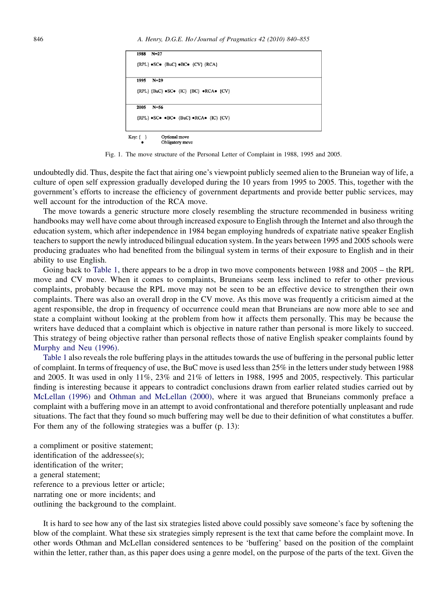<span id="page-6-0"></span>

| 1988 | $N = 27$                                                                          |
|------|-----------------------------------------------------------------------------------|
|      | ${RPL} \bullet SC \bullet {BuC} \bullet BC \bullet {CV} {RCA}$                    |
| 1995 | $N=29$                                                                            |
|      | ${RPL} {BuC}$ $SCo {IC} {BC}$ $RCAO {CV}$                                         |
| 2005 | $N = 56$                                                                          |
|      |                                                                                   |
|      | ${RPL} \bullet SC \bullet \bullet BC \bullet {BuC} \bullet RCA \bullet {IC} {CV}$ |

Fig. 1. The move structure of the Personal Letter of Complaint in 1988, 1995 and 2005.

undoubtedly did. Thus, despite the fact that airing one's viewpoint publicly seemed alien to the Bruneian way of life, a culture of open self expression gradually developed during the 10 years from 1995 to 2005. This, together with the government's efforts to increase the efficiency of government departments and provide better public services, may well account for the introduction of the RCA move.

The move towards a generic structure more closely resembling the structure recommended in business writing handbooks may well have come about through increased exposure to English through the Internet and also through the education system, which after independence in 1984 began employing hundreds of expatriate native speaker English teachers to support the newly introduced bilingual education system. In the years between 1995 and 2005 schools were producing graduates who had benefited from the bilingual system in terms of their exposure to English and in their ability to use English.

Going back to [Table 1,](#page-5-0) there appears to be a drop in two move components between 1988 and 2005 – the RPL move and CV move. When it comes to complaints, Bruneians seem less inclined to refer to other previous complaints, probably because the RPL move may not be seen to be an effective device to strengthen their own complaints. There was also an overall drop in the CV move. As this move was frequently a criticism aimed at the agent responsible, the drop in frequency of occurrence could mean that Bruneians are now more able to see and state a complaint without looking at the problem from how it affects them personally. This may be because the writers have deduced that a complaint which is objective in nature rather than personal is more likely to succeed. This strategy of being objective rather than personal reflects those of native English speaker complaints found by [Murphy and Neu \(1996\).](#page-15-0)

[Table 1](#page-5-0) also reveals the role buffering plays in the attitudes towards the use of buffering in the personal public letter of complaint. In terms of frequency of use, the BuC move is used less than 25% in the letters under study between 1988 and 2005. It was used in only 11%, 23% and 21% of letters in 1988, 1995 and 2005, respectively. This particular finding is interesting because it appears to contradict conclusions drawn from earlier related studies carried out by [McLellan \(1996\)](#page-15-0) and [Othman and McLellan \(2000\),](#page-15-0) where it was argued that Bruneians commonly preface a complaint with a buffering move in an attempt to avoid confrontational and therefore potentially unpleasant and rude situations. The fact that they found so much buffering may well be due to their definition of what constitutes a buffer. For them any of the following strategies was a buffer (p. 13):

a compliment or positive statement; identification of the addressee(s); identification of the writer; a general statement; reference to a previous letter or article; narrating one or more incidents; and outlining the background to the complaint.

It is hard to see how any of the last six strategies listed above could possibly save someone's face by softening the blow of the complaint. What these six strategies simply represent is the text that came before the complaint move. In other words Othman and McLellan considered sentences to be 'buffering' based on the position of the complaint within the letter, rather than, as this paper does using a genre model, on the purpose of the parts of the text. Given the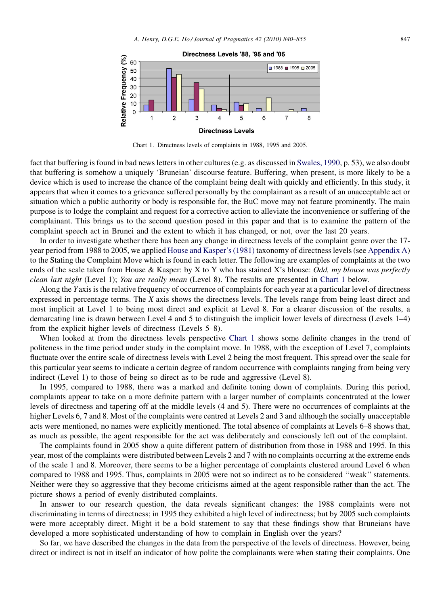

Chart 1. Directness levels of complaints in 1988, 1995 and 2005.

fact that buffering is found in bad news letters in other cultures (e.g. as discussed in [Swales, 1990](#page-15-0), p. 53), we also doubt that buffering is somehow a uniquely 'Bruneian' discourse feature. Buffering, when present, is more likely to be a device which is used to increase the chance of the complaint being dealt with quickly and efficiently. In this study, it appears that when it comes to a grievance suffered personally by the complainant as a result of an unacceptable act or situation which a public authority or body is responsible for, the BuC move may not feature prominently. The main purpose is to lodge the complaint and request for a corrective action to alleviate the inconvenience or suffering of the complainant. This brings us to the second question posed in this paper and that is to examine the pattern of the complaint speech act in Brunei and the extent to which it has changed, or not, over the last 20 years.

In order to investigate whether there has been any change in directness levels of the complaint genre over the 17 year period from 1988 to 2005, we applied [House and Kasper's \(1981\)](#page-15-0) taxonomy of directness levels (see [Appendix A\)](#page-11-0) to the Stating the Complaint Move which is found in each letter. The following are examples of complaints at the two ends of the scale taken from House & Kasper: by X to Y who has stained X's blouse: *Odd, my blouse was perfectly* clean last night (Level 1); You are really mean (Level 8). The results are presented in Chart 1 below.

Along the Yaxis is the relative frequency of occurrence of complaints for each year at a particular level of directness expressed in percentage terms. The X axis shows the directness levels. The levels range from being least direct and most implicit at Level 1 to being most direct and explicit at Level 8. For a clearer discussion of the results, a demarcating line is drawn between Level 4 and 5 to distinguish the implicit lower levels of directness (Levels 1–4) from the explicit higher levels of directness (Levels 5–8).

When looked at from the directness levels perspective Chart 1 shows some definite changes in the trend of politeness in the time period under study in the complaint move. In 1988, with the exception of Level 7, complaints fluctuate over the entire scale of directness levels with Level 2 being the most frequent. This spread over the scale for this particular year seems to indicate a certain degree of random occurrence with complaints ranging from being very indirect (Level 1) to those of being so direct as to be rude and aggressive (Level 8).

In 1995, compared to 1988, there was a marked and definite toning down of complaints. During this period, complaints appear to take on a more definite pattern with a larger number of complaints concentrated at the lower levels of directness and tapering off at the middle levels (4 and 5). There were no occurrences of complaints at the higher Levels 6, 7 and 8. Most of the complaints were centred at Levels 2 and 3 and although the socially unacceptable acts were mentioned, no names were explicitly mentioned. The total absence of complaints at Levels 6–8 shows that, as much as possible, the agent responsible for the act was deliberately and consciously left out of the complaint.

The complaints found in 2005 show a quite different pattern of distribution from those in 1988 and 1995. In this year, most of the complaints were distributed between Levels 2 and 7 with no complaints occurring at the extreme ends of the scale 1 and 8. Moreover, there seems to be a higher percentage of complaints clustered around Level 6 when compared to 1988 and 1995. Thus, complaints in 2005 were not so indirect as to be considered ''weak'' statements. Neither were they so aggressive that they become criticisms aimed at the agent responsible rather than the act. The picture shows a period of evenly distributed complaints.

In answer to our research question, the data reveals significant changes: the 1988 complaints were not discriminating in terms of directness; in 1995 they exhibited a high level of indirectness; but by 2005 such complaints were more acceptably direct. Might it be a bold statement to say that these findings show that Bruneians have developed a more sophisticated understanding of how to complain in English over the years?

So far, we have described the changes in the data from the perspective of the levels of directness. However, being direct or indirect is not in itself an indicator of how polite the complainants were when stating their complaints. One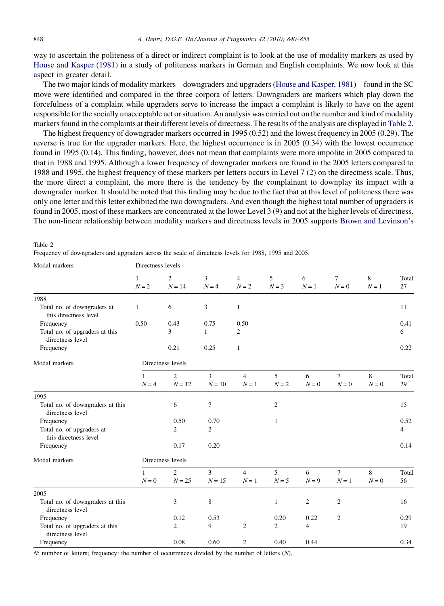<span id="page-8-0"></span>way to ascertain the politeness of a direct or indirect complaint is to look at the use of modality markers as used by [House and Kasper \(1981\)](#page-15-0) in a study of politeness markers in German and English complaints. We now look at this aspect in greater detail.

The two major kinds of modality markers – downgraders and upgraders [\(House and Kasper, 1981\)](#page-15-0) – found in the SC move were identified and compared in the three corpora of letters. Downgraders are markers which play down the forcefulness of a complaint while upgraders serve to increase the impact a complaint is likely to have on the agent responsible for the socially unacceptable act or situation. An analysis was carried out on the number and kind of modality markers found in the complaints at their different levels of directness. The results of the analysis are displayed in Table 2.

The highest frequency of downgrader markers occurred in 1995 (0.52) and the lowest frequency in 2005 (0.29). The reverse is true for the upgrader markers. Here, the highest occurrence is in 2005 (0.34) with the lowest occurrence found in 1995 (0.14). This finding, however, does not mean that complaints were more impolite in 2005 compared to that in 1988 and 1995. Although a lower frequency of downgrader markers are found in the 2005 letters compared to 1988 and 1995, the highest frequency of these markers per letters occurs in Level 7 (2) on the directness scale. Thus, the more direct a complaint, the more there is the tendency by the complainant to downplay its impact with a downgrader marker. It should be noted that this finding may be due to the fact that at this level of politeness there was only one letter and this letter exhibited the two downgraders. And even though the highest total number of upgraders is found in 2005, most of these markers are concentrated at the lower Level 3 (9) and not at the higher levels of directness. The non-linear relationship between modality markers and directness levels in 2005 supports [Brown and Levinson's](#page-15-0)

| Modal markers                                        | Directness levels       |                            |                           |                           |                |                |                 |            |                |  |  |
|------------------------------------------------------|-------------------------|----------------------------|---------------------------|---------------------------|----------------|----------------|-----------------|------------|----------------|--|--|
|                                                      | $\mathbf{1}$<br>$N = 2$ | $\overline{2}$<br>$N = 14$ | $\overline{3}$<br>$N = 4$ | $\overline{4}$<br>$N = 2$ | 5<br>$N = 3$   | 6<br>$N=1$     | $\tau$<br>$N=0$ | 8<br>$N=1$ | Total<br>27    |  |  |
| 1988                                                 |                         |                            |                           |                           |                |                |                 |            |                |  |  |
| Total no. of downgraders at<br>this directness level | $\mathbf{1}$            | 6                          | 3                         | $\mathbf{1}$              |                |                |                 |            | 11             |  |  |
| Frequency                                            | 0.50                    | 0.43                       | 0.75                      | 0.50                      |                |                |                 |            | 0.41           |  |  |
| Total no. of upgraders at this<br>directness level   |                         | 3                          | $\mathbf{1}$              | $\overline{c}$            |                |                |                 |            | 6              |  |  |
| Frequency                                            |                         | 0.21                       | 0.25                      | $\mathbf{1}$              |                |                |                 |            | 0.22           |  |  |
| Modal markers                                        | Directness levels       |                            |                           |                           |                |                |                 |            |                |  |  |
|                                                      | 1                       | $\overline{2}$             | 3                         | $\overline{4}$            | 5              | 6              | $\tau$          | 8          | Total          |  |  |
|                                                      | $N = 4$                 | $N = 12$                   | $N = 10$                  | $N=1$                     | $N = 2$        | $N = 0$        | $N=0$           | $N = 0$    | 29             |  |  |
| 1995                                                 |                         |                            |                           |                           |                |                |                 |            |                |  |  |
| Total no. of downgraders at this<br>directness level |                         | 6                          | $\tau$                    |                           | $\mathfrak{2}$ |                |                 |            | 15             |  |  |
| Frequency                                            |                         | 0.50                       | 0.70                      |                           | 1              |                |                 |            | 0.52           |  |  |
| Total no. of upgraders at<br>this directness level   |                         | $\overline{c}$             | 2                         |                           |                |                |                 |            | $\overline{4}$ |  |  |
| Frequency                                            |                         | 0.17                       | 0.20                      |                           |                |                |                 |            | 0.14           |  |  |
| Modal markers                                        | Directness levels       |                            |                           |                           |                |                |                 |            |                |  |  |
|                                                      | 1                       | $\overline{2}$             | 3                         | $\overline{4}$            | 5              | 6              | $\tau$          | 8          | Total          |  |  |
|                                                      | $N=0$                   | $N=25$                     | $N = 15$                  | $N=1$                     | $N = 5$        | $N = 9$        | $N=1$           | $N = 0$    | 56             |  |  |
| 2005                                                 |                         |                            |                           |                           |                |                |                 |            |                |  |  |
| Total no. of downgraders at this<br>directness level |                         | 3                          | 8                         |                           | 1              | $\overline{c}$ | $\overline{c}$  |            | 16             |  |  |
| Frequency                                            |                         | 0.12                       | 0.53                      |                           | 0.20           | 0.22           | $\mathfrak{2}$  |            | 0.29           |  |  |
| Total no. of upgraders at this<br>directness level   |                         | 2                          | 9                         | 2                         | 2              | 4              |                 |            | 19             |  |  |
| Frequency                                            |                         | 0.08                       | 0.60                      | $\mathfrak{2}$            | 0.40           | 0.44           |                 |            | 0.34           |  |  |

Frequency of downgraders and upgraders across the scale of directness levels for 1988, 1995 and 2005.

N: number of letters; frequency: the number of occurrences divided by the number of letters (N).

Table 2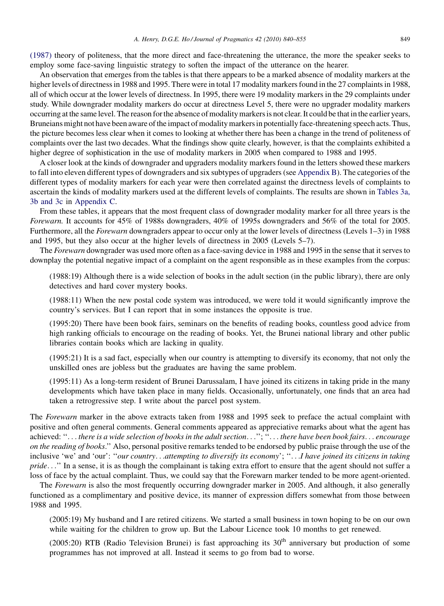[\(1987\)](#page-15-0) theory of politeness, that the more direct and face-threatening the utterance, the more the speaker seeks to employ some face-saving linguistic strategy to soften the impact of the utterance on the hearer.

An observation that emerges from the tables is that there appears to be a marked absence of modality markers at the higher levels of directness in 1988 and 1995. There were in total 17 modality markers found in the 27 complaints in 1988, all of which occur at the lower levels of directness. In 1995, there were 19 modality markers in the 29 complaints under study. While downgrader modality markers do occur at directness Level 5, there were no upgrader modality markers occurring at the same level. The reason for the absence of modality markers is not clear. It could be that in the earlier years, Bruneians might not have been aware of the impact of modality markers in potentially face-threatening speech acts. Thus, the picture becomes less clear when it comes to looking at whether there has been a change in the trend of politeness of complaints over the last two decades. What the findings show quite clearly, however, is that the complaints exhibited a higher degree of sophistication in the use of modality markers in 2005 when compared to 1988 and 1995.

A closer look at the kinds of downgrader and upgraders modality markers found in the letters showed these markers to fall into eleven different types of downgraders and six subtypes of upgraders (see [Appendix B](#page-11-0)). The categories of the different types of modality markers for each year were then correlated against the directness levels of complaints to ascertain the kinds of modality markers used at the different levels of complaints. The results are shown in [Tables 3a,](#page-13-0) [3b and 3c](#page-13-0) in [Appendix C](#page-13-0).

From these tables, it appears that the most frequent class of downgrader modality marker for all three years is the Forewarn. It accounts for 45% of 1988s downgraders, 40% of 1995s downgraders and 56% of the total for 2005. Furthermore, all the *Forewarn* downgraders appear to occur only at the lower levels of directness (Levels 1–3) in 1988 and 1995, but they also occur at the higher levels of directness in 2005 (Levels 5–7).

The Forewarn downgrader was used more often as a face-saving device in 1988 and 1995 in the sense that it serves to downplay the potential negative impact of a complaint on the agent responsible as in these examples from the corpus:

(1988:19) Although there is a wide selection of books in the adult section (in the public library), there are only detectives and hard cover mystery books.

(1988:11) When the new postal code system was introduced, we were told it would significantly improve the country's services. But I can report that in some instances the opposite is true.

(1995:20) There have been book fairs, seminars on the benefits of reading books, countless good advice from high ranking officials to encourage on the reading of books. Yet, the Brunei national library and other public libraries contain books which are lacking in quality.

(1995:21) It is a sad fact, especially when our country is attempting to diversify its economy, that not only the unskilled ones are jobless but the graduates are having the same problem.

(1995:11) As a long-term resident of Brunei Darussalam, I have joined its citizens in taking pride in the many developments which have taken place in many fields. Occasionally, unfortunately, one finds that an area had taken a retrogressive step. I write about the parcel post system.

The Forewarn marker in the above extracts taken from 1988 and 1995 seek to preface the actual complaint with positive and often general comments. General comments appeared as appreciative remarks about what the agent has achieved: ''... there is a wide selection of books in the adult section...''; ''... there have been book fairs... encourage on the reading of books.'' Also, personal positive remarks tended to be endorsed by public praise through the use of the inclusive 'we' and 'our': "our country...attempting to diversify its economy'; "...I have joined its citizens in taking pride..." In a sense, it is as though the complainant is taking extra effort to ensure that the agent should not suffer a loss of face by the actual complaint. Thus, we could say that the Forewarn marker tended to be more agent-oriented.

The Forewarn is also the most frequently occurring downgrader marker in 2005. And although, it also generally functioned as a complimentary and positive device, its manner of expression differs somewhat from those between 1988 and 1995.

(2005:19) My husband and I are retired citizens. We started a small business in town hoping to be on our own while waiting for the children to grow up. But the Labour Licence took 10 months to get renewed.

(2005:20) RTB (Radio Television Brunei) is fast approaching its  $30<sup>th</sup>$  anniversary but production of some programmes has not improved at all. Instead it seems to go from bad to worse.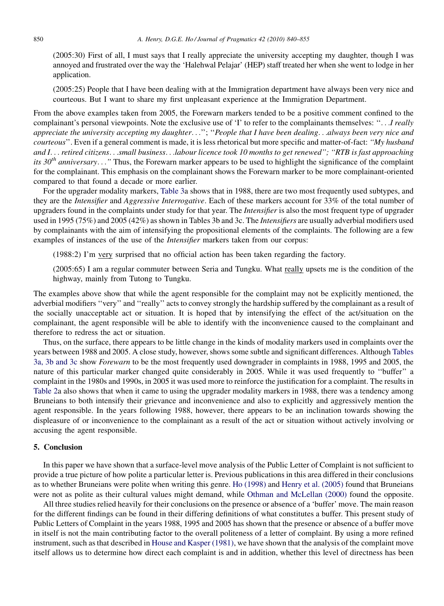(2005:30) First of all, I must says that I really appreciate the university accepting my daughter, though I was annoyed and frustrated over the way the 'Halehwal Pelajar' (HEP) staff treated her when she went to lodge in her application.

(2005:25) People that I have been dealing with at the Immigration department have always been very nice and courteous. But I want to share my first unpleasant experience at the Immigration Department.

From the above examples taken from 2005, the Forewarn markers tended to be a positive comment confined to the complainant's personal viewpoints. Note the exclusive use of 'I' to refer to the complainants themselves: "... I really appreciate the university accepting my daughter...''; ''People that I have been dealing...always been very nice and courteous". Even if a general comment is made, it is less rhetorical but more specific and matter-of-fact: "My husband and I... retired citizens...small business...labour licence took 10 months to get renewed"; "RTB is fast approaching its  $30<sup>th</sup>$  anniversary..." Thus, the Forewarn marker appears to be used to highlight the significance of the complaint for the complainant. This emphasis on the complainant shows the Forewarn marker to be more complainant-oriented compared to that found a decade or more earlier.

For the upgrader modality markers, [Table 3](#page-13-0)a shows that in 1988, there are two most frequently used subtypes, and they are the Intensifier and Aggressive Interrogative. Each of these markers account for 33% of the total number of upgraders found in the complaints under study for that year. The *Intensifier* is also the most frequent type of upgrader used in 1995 (75%) and 2005 (42%) as shown in Tables 3b and 3c. The *Intensifiers* are usually adverbial modifiers used by complainants with the aim of intensifying the propositional elements of the complaints. The following are a few examples of instances of the use of the Intensifier markers taken from our corpus:

(1988:2) I'm very surprised that no official action has been taken regarding the factory.

(2005:65) I am a regular commuter between Seria and Tungku. What really upsets me is the condition of the highway, mainly from Tutong to Tungku.

The examples above show that while the agent responsible for the complaint may not be explicitly mentioned, the adverbial modifiers ''very'' and ''really'' acts to convey strongly the hardship suffered by the complainant as a result of the socially unacceptable act or situation. It is hoped that by intensifying the effect of the act/situation on the complainant, the agent responsible will be able to identify with the inconvenience caused to the complainant and therefore to redress the act or situation.

Thus, on the surface, there appears to be little change in the kinds of modality markers used in complaints over the years between 1988 and 2005. A close study, however, shows some subtle and significant differences. Although [Tables](#page-13-0) [3a, 3b and 3c](#page-13-0) show Forewarn to be the most frequently used downgrader in complaints in 1988, 1995 and 2005, the nature of this particular marker changed quite considerably in 2005. While it was used frequently to ''buffer'' a complaint in the 1980s and 1990s, in 2005 it was used more to reinforce the justification for a complaint. The results in [Table 2a](#page-8-0) also shows that when it came to using the upgrader modality markers in 1988, there was a tendency among Bruneians to both intensify their grievance and inconvenience and also to explicitly and aggressively mention the agent responsible. In the years following 1988, however, there appears to be an inclination towards showing the displeasure of or inconvenience to the complainant as a result of the act or situation without actively involving or accusing the agent responsible.

# 5. Conclusion

In this paper we have shown that a surface-level move analysis of the Public Letter of Complaint is not sufficient to provide a true picture of how polite a particular letter is. Previous publications in this area differed in their conclusions as to whether Bruneians were polite when writing this genre. [Ho \(1998\)](#page-15-0) and [Henry et al. \(2005\)](#page-15-0) found that Bruneians were not as polite as their cultural values might demand, while [Othman and McLellan \(2000\)](#page-15-0) found the opposite.

All three studies relied heavily for their conclusions on the presence or absence of a 'buffer' move. The main reason for the different findings can be found in their differing definitions of what constitutes a buffer. This present study of Public Letters of Complaint in the years 1988, 1995 and 2005 has shown that the presence or absence of a buffer move in itself is not the main contributing factor to the overall politeness of a letter of complaint. By using a more refined instrument, such as that described in [House and Kasper \(1981\),](#page-15-0) we have shown that the analysis of the complaint move itself allows us to determine how direct each complaint is and in addition, whether this level of directness has been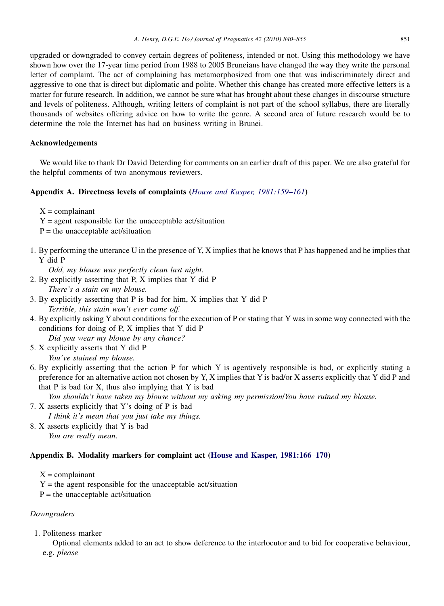<span id="page-11-0"></span>upgraded or downgraded to convey certain degrees of politeness, intended or not. Using this methodology we have shown how over the 17-year time period from 1988 to 2005 Bruneians have changed the way they write the personal letter of complaint. The act of complaining has metamorphosized from one that was indiscriminately direct and aggressive to one that is direct but diplomatic and polite. Whether this change has created more effective letters is a matter for future research. In addition, we cannot be sure what has brought about these changes in discourse structure and levels of politeness. Although, writing letters of complaint is not part of the school syllabus, there are literally thousands of websites offering advice on how to write the genre. A second area of future research would be to determine the role the Internet has had on business writing in Brunei.

# Acknowledgements

We would like to thank Dr David Deterding for comments on an earlier draft of this paper. We are also grateful for the helpful comments of two anonymous reviewers.

# Appendix A. Directness levels of complaints ([House and Kasper, 1981:159](#page-15-0)–161)

 $X =$ complainant

- $Y =$  agent responsible for the unacceptable act/situation
- $P =$  the unacceptable act/situation
- 1. By performing the utterance U in the presence of Y, X implies that he knows that P has happened and he implies that Y did P

Odd, my blouse was perfectly clean last night.

- 2. By explicitly asserting that P, X implies that Y did P There's a stain on my blouse.
- 3. By explicitly asserting that P is bad for him, X implies that Y did P Terrible, this stain won't ever come off.
- 4. By explicitly asking Yabout conditions for the execution of P or stating that Y was in some way connected with the conditions for doing of P, X implies that Y did P

Did you wear my blouse by any chance?

- 5. X explicitly asserts that Y did P You've stained my blouse.
- 6. By explicitly asserting that the action P for which Y is agentively responsible is bad, or explicitly stating a preference for an alternative action not chosen by Y, X implies that Y is bad/or X asserts explicitly that Y did P and that  $P$  is bad for  $X$ , thus also implying that  $Y$  is bad

You shouldn't have taken my blouse without my asking my permission/You have ruined my blouse.

- 7. X asserts explicitly that Y's doing of P is bad
- I think it's mean that you just take my things.
- 8. X asserts explicitly that Y is bad You are really mean.

# Appendix B. Modality markers for complaint act ([House and Kasper, 1981:166](#page-15-0)–170)

 $X =$ complainant

- $Y =$  the agent responsible for the unacceptable act/situation
- $P =$  the unacceptable act/situation

# **Downgraders**

1. Politeness marker

Optional elements added to an act to show deference to the interlocutor and to bid for cooperative behaviour, e.g. please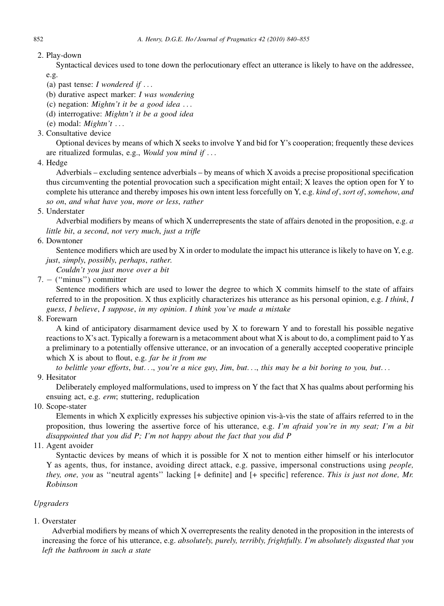# 2. Play-down

Syntactical devices used to tone down the perlocutionary effect an utterance is likely to have on the addressee, e.g.

- (a) past tense:  $I$  wondered if ...
- (b) durative aspect marker: I was wondering
- (c) negation: Mightn't it be a good idea  $\dots$
- (d) interrogative: Mightn't it be a good idea
- (e) modal:  $Mightn't$ ...
- 3. Consultative device

Optional devices by means of which X seeks to involve Yand bid for Y's cooperation; frequently these devices are ritualized formulas, e.g., Would you mind if ...

4. Hedge

Adverbials – excluding sentence adverbials – by means of which X avoids a precise propositional specification thus circumventing the potential provocation such a specification might entail; X leaves the option open for Y to complete his utterance and thereby imposes his own intent less forcefully on Y, e.g. kind of, sort of, somehow, and so on, and what have you, more or less, rather

5. Understater

Adverbial modifiers by means of which X underrepresents the state of affairs denoted in the proposition, e.g. a little bit, a second, not very much, just a trifle

# 6. Downtoner

Sentence modifiers which are used by  $X$  in order to modulate the impact his utterance is likely to have on  $Y$ , e.g. just, simply, possibly, perhaps, rather.

Couldn't you just move over a bit

7. - (''minus'') committer

Sentence modifiers which are used to lower the degree to which X commits himself to the state of affairs referred to in the proposition. X thus explicitly characterizes his utterance as his personal opinion, e.g. I think, I guess, I believe, I suppose, in my opinion. I think you've made a mistake

8. Forewarn

A kind of anticipatory disarmament device used by X to forewarn Y and to forestall his possible negative reactions to X's act. Typically a forewarn is a metacomment about what X is about to do, a compliment paid to Yas a preliminary to a potentially offensive utterance, or an invocation of a generally accepted cooperative principle which  $X$  is about to flout, e.g. far be it from me

to belittle your efforts, but..., you're a nice guy, Jim, but..., this may be a bit boring to you, but...

9. Hesitator

Deliberately employed malformulations, used to impress on Y the fact that X has qualms about performing his ensuing act, e.g. erm; stuttering, reduplication

10. Scope-stater

Elements in which X explicitly expresses his subjective opinion vis-a`-vis the state of affairs referred to in the proposition, thus lowering the assertive force of his utterance, e.g. I'm afraid you're in my seat; I'm a bit disappointed that you did P; I'm not happy about the fact that you did P

11. Agent avoider

Syntactic devices by means of which it is possible for X not to mention either himself or his interlocutor Y as agents, thus, for instance, avoiding direct attack, e.g. passive, impersonal constructions using people, they, one, you as ''neutral agents'' lacking [+ definite] and [+ specific] reference. This is just not done, Mr. Robinson

# Upgraders

1. Overstater

Adverbial modifiers by means of which X overrepresents the reality denoted in the proposition in the interests of increasing the force of his utterance, e.g. *absolutely, purely, terribly, frightfully. I'm absolutely disgusted that you* left the bathroom in such a state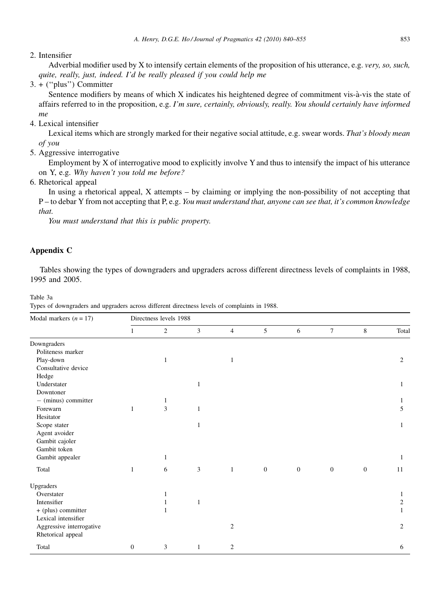## <span id="page-13-0"></span>2. Intensifier

Adverbial modifier used by X to intensify certain elements of the proposition of his utterance, e.g. very, so, such, quite, really, just, indeed. I'd be really pleased if you could help me

3. + (''plus'') Committer

Sentence modifiers by means of which X indicates his heightened degree of commitment vis-à-vis the state of affairs referred to in the proposition, e.g. I'm sure, certainly, obviously, really. You should certainly have informed me

4. Lexical intensifier

Lexical items which are strongly marked for their negative social attitude, e.g. swear words. That's bloody mean of you

5. Aggressive interrogative

Employment by X of interrogative mood to explicitly involve Y and thus to intensify the impact of his utterance on Y, e.g. Why haven't you told me before?

6. Rhetorical appeal

In using a rhetorical appeal, X attempts – by claiming or implying the non-possibility of not accepting that P – to debar Y from not accepting that P, e.g. You must understand that, anyone can see that, it's common knowledge that.

You must understand that this is public property.

# Appendix C

Tables showing the types of downgraders and upgraders across different directness levels of complaints in 1988, 1995 and 2005.

Table 3a

Types of downgraders and upgraders across different directness levels of complaints in 1988.

| Modal markers $(n = 17)$ | Directness levels 1988 |                |              |                  |                  |              |                |              |                |
|--------------------------|------------------------|----------------|--------------|------------------|------------------|--------------|----------------|--------------|----------------|
|                          | 1                      | $\overline{2}$ | 3            | $\overline{4}$   | 5                | 6            | $\overline{7}$ | 8            | Total          |
| Downgraders              |                        |                |              |                  |                  |              |                |              |                |
| Politeness marker        |                        |                |              |                  |                  |              |                |              |                |
| Play-down                |                        | 1              |              | 1                |                  |              |                |              | 2              |
| Consultative device      |                        |                |              |                  |                  |              |                |              |                |
| Hedge                    |                        |                |              |                  |                  |              |                |              |                |
| Understater              |                        |                | $\mathbf{1}$ |                  |                  |              |                |              | $\mathbf{1}$   |
| Downtoner                |                        |                |              |                  |                  |              |                |              |                |
| $-$ (minus) committer    |                        | 1              |              |                  |                  |              |                |              | 1              |
| Forewarn                 | 1                      | $\overline{3}$ | $\mathbf{1}$ |                  |                  |              |                |              | 5              |
| Hesitator                |                        |                |              |                  |                  |              |                |              |                |
| Scope stater             |                        |                | 1            |                  |                  |              |                |              | 1              |
| Agent avoider            |                        |                |              |                  |                  |              |                |              |                |
| Gambit cajoler           |                        |                |              |                  |                  |              |                |              |                |
| Gambit token             |                        |                |              |                  |                  |              |                |              |                |
| Gambit appealer          |                        | 1              |              |                  |                  |              |                |              | 1              |
| Total                    | 1                      | 6              | 3            | 1                | $\boldsymbol{0}$ | $\mathbf{0}$ | $\mathbf{0}$   | $\mathbf{0}$ | 11             |
| Upgraders                |                        |                |              |                  |                  |              |                |              |                |
| Overstater               |                        |                |              |                  |                  |              |                |              | 1              |
| Intensifier              |                        | 1              | 1            |                  |                  |              |                |              | $\overline{c}$ |
| + (plus) committer       |                        |                |              |                  |                  |              |                |              | $\mathbf{1}$   |
| Lexical intensifier      |                        |                |              |                  |                  |              |                |              |                |
| Aggressive interrogative |                        |                |              | $\mathfrak{2}$   |                  |              |                |              | 2              |
| Rhetorical appeal        |                        |                |              |                  |                  |              |                |              |                |
| Total                    | $\boldsymbol{0}$       | 3              | 1            | $\boldsymbol{2}$ |                  |              |                |              | 6              |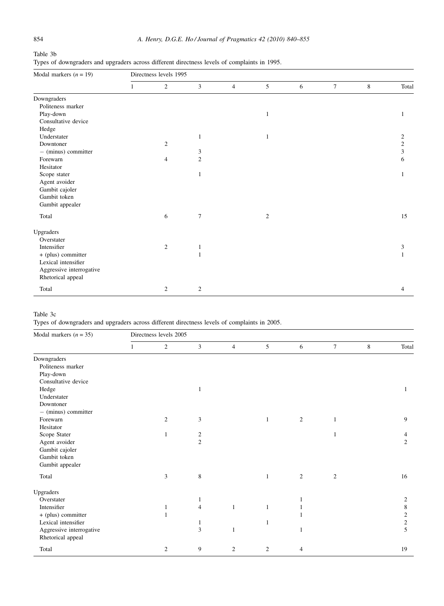Table 3b Types of downgraders and upgraders across different directness levels of complaints in 1995.

| Directness levels 1995 |                |                |                |   |   |        |   |                |  |
|------------------------|----------------|----------------|----------------|---|---|--------|---|----------------|--|
|                        | $\sqrt{2}$     | 3              | $\overline{4}$ | 5 | 6 | $\tau$ | 8 | Total          |  |
|                        |                |                |                |   |   |        |   |                |  |
|                        |                |                |                |   |   |        |   |                |  |
|                        |                |                |                | 1 |   |        |   | 1              |  |
|                        |                |                |                |   |   |        |   |                |  |
|                        |                |                |                |   |   |        |   |                |  |
|                        |                | $\mathbf{1}$   |                | 1 |   |        |   | $\mathfrak{2}$ |  |
|                        | $\overline{2}$ |                |                |   |   |        |   | $\mathfrak{2}$ |  |
|                        |                | $\mathfrak{Z}$ |                |   |   |        |   | 3              |  |
|                        | $\overline{4}$ | $\mathbf{2}$   |                |   |   |        |   | 6              |  |
|                        |                |                |                |   |   |        |   |                |  |
|                        |                | 1              |                |   |   |        |   | 1              |  |
|                        |                |                |                |   |   |        |   |                |  |
|                        |                |                |                |   |   |        |   |                |  |
|                        |                |                |                |   |   |        |   |                |  |
|                        |                |                |                |   |   |        |   |                |  |
|                        | 6              | $\overline{7}$ |                | 2 |   |        |   | 15             |  |
|                        |                |                |                |   |   |        |   |                |  |
|                        |                |                |                |   |   |        |   |                |  |
|                        | $\mathfrak{2}$ | $\mathbf{1}$   |                |   |   |        |   | 3              |  |
|                        |                | $\mathbf{1}$   |                |   |   |        |   |                |  |
|                        |                |                |                |   |   |        |   |                |  |
|                        |                |                |                |   |   |        |   |                |  |
|                        |                |                |                |   |   |        |   |                |  |
|                        | $\mathbf{2}$   | $\mathbf{2}$   |                |   |   |        |   | $\overline{4}$ |  |
|                        |                |                |                |   |   |        |   |                |  |

Table 3c

Types of downgraders and upgraders across different directness levels of complaints in 2005.

| Modal markers $(n = 35)$ | Directness levels 2005 |            |                |                |                |                  |                |   |                  |
|--------------------------|------------------------|------------|----------------|----------------|----------------|------------------|----------------|---|------------------|
|                          |                        | $\sqrt{2}$ | $\mathfrak{Z}$ | $\overline{4}$ | 5              | 6                | $\tau$         | 8 | Total            |
| Downgraders              |                        |            |                |                |                |                  |                |   |                  |
| Politeness marker        |                        |            |                |                |                |                  |                |   |                  |
| Play-down                |                        |            |                |                |                |                  |                |   |                  |
| Consultative device      |                        |            |                |                |                |                  |                |   |                  |
| Hedge                    |                        |            | 1              |                |                |                  |                |   | 1                |
| Understater              |                        |            |                |                |                |                  |                |   |                  |
| Downtoner                |                        |            |                |                |                |                  |                |   |                  |
| $-$ (minus) committer    |                        |            |                |                |                |                  |                |   |                  |
| Forewarn                 |                        | $\sqrt{2}$ | 3              |                | 1              | $\boldsymbol{2}$ | $\mathbf{1}$   |   | 9                |
| Hesitator                |                        |            |                |                |                |                  |                |   |                  |
| Scope Stater             |                        | 1          | $\overline{c}$ |                |                |                  | 1              |   | 4                |
| Agent avoider            |                        |            | $\overline{c}$ |                |                |                  |                |   | 2                |
| Gambit cajoler           |                        |            |                |                |                |                  |                |   |                  |
| Gambit token             |                        |            |                |                |                |                  |                |   |                  |
| Gambit appealer          |                        |            |                |                |                |                  |                |   |                  |
| Total                    |                        | 3          | 8              |                | 1              | 2                | $\mathfrak{2}$ |   | 16               |
| Upgraders                |                        |            |                |                |                |                  |                |   |                  |
| Overstater               |                        |            | 1              |                |                | 1                |                |   | 2                |
| Intensifier              |                        | 1          | 4              | $\mathbf{1}$   | 1              |                  |                |   | 8                |
| + (plus) committer       |                        | 1          |                |                |                |                  |                |   | 2                |
| Lexical intensifier      |                        |            | 1              |                | 1              |                  |                |   | $\boldsymbol{2}$ |
| Aggressive interrogative |                        |            | 3              | 1              |                | 1                |                |   | 5                |
| Rhetorical appeal        |                        |            |                |                |                |                  |                |   |                  |
| Total                    |                        | 2          | 9              | $\overline{2}$ | $\overline{c}$ | 4                |                |   | 19               |